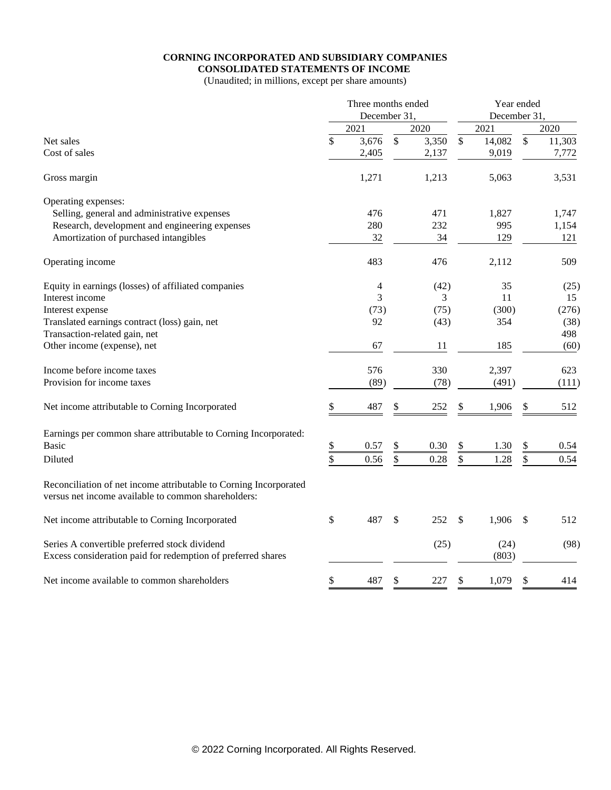# **CORNING INCORPORATED AND SUBSIDIARY COMPANIES**

**CONSOLIDATED STATEMENTS OF INCOME** (Unaudited; in millions, except per share amounts)

|                                                                                                                          |                 | Three months ended<br>December 31. |                 |          |               | Year ended<br>December 31. |                           |        |
|--------------------------------------------------------------------------------------------------------------------------|-----------------|------------------------------------|-----------------|----------|---------------|----------------------------|---------------------------|--------|
|                                                                                                                          |                 | 2021                               |                 | 2020     |               | 2021                       |                           | 2020   |
| Net sales                                                                                                                | \$              | 3,676                              | $\overline{\$}$ | 3,350    | $\mathcal{S}$ | 14,082                     | $\mathsf{\$}$             | 11,303 |
| Cost of sales                                                                                                            |                 | 2,405                              |                 | 2,137    |               | 9,019                      |                           | 7,772  |
| Gross margin                                                                                                             |                 | 1,271                              |                 | 1,213    |               | 5,063                      |                           | 3,531  |
| Operating expenses:                                                                                                      |                 |                                    |                 |          |               |                            |                           |        |
| Selling, general and administrative expenses                                                                             |                 | 476                                |                 | 471      |               | 1,827                      |                           | 1,747  |
| Research, development and engineering expenses                                                                           |                 | 280                                |                 | 232      |               | 995                        |                           | 1,154  |
| Amortization of purchased intangibles                                                                                    |                 | 32                                 |                 | 34       |               | 129                        |                           | 121    |
| Operating income                                                                                                         |                 | 483                                |                 | 476      |               | 2,112                      |                           | 509    |
| Equity in earnings (losses) of affiliated companies                                                                      |                 | 4                                  |                 | (42)     |               | 35                         |                           | (25)   |
| Interest income                                                                                                          |                 | 3                                  |                 | 3        |               | 11                         |                           | 15     |
| Interest expense                                                                                                         |                 | (73)                               |                 | (75)     |               | (300)                      |                           | (276)  |
| Translated earnings contract (loss) gain, net                                                                            |                 | 92                                 |                 | (43)     |               | 354                        |                           | (38)   |
| Transaction-related gain, net                                                                                            |                 |                                    |                 |          |               |                            |                           | 498    |
| Other income (expense), net                                                                                              |                 | 67                                 |                 | 11       |               | 185                        |                           | (60)   |
| Income before income taxes                                                                                               |                 | 576                                |                 | 330      |               | 2,397                      |                           | 623    |
| Provision for income taxes                                                                                               |                 | (89)                               |                 | (78)     |               | (491)                      |                           | (111)  |
| Net income attributable to Corning Incorporated                                                                          | \$              | 487                                | \$              | 252      | \$            | 1,906                      | \$                        | 512    |
| Earnings per common share attributable to Corning Incorporated:                                                          |                 |                                    |                 |          |               |                            |                           |        |
| <b>Basic</b>                                                                                                             | \$              | 0.57                               | \$              | $0.30\,$ | \$            | 1.30                       | \$                        | 0.54   |
| Diluted                                                                                                                  | $\overline{\$}$ | 0.56                               | \$              | 0.28     | \$            | 1.28                       | \$                        | 0.54   |
| Reconciliation of net income attributable to Corning Incorporated<br>versus net income available to common shareholders: |                 |                                    |                 |          |               |                            |                           |        |
| Net income attributable to Corning Incorporated                                                                          | \$              | 487                                | \$              | 252      | \$            | 1,906                      | $\boldsymbol{\mathsf{S}}$ | 512    |
| Series A convertible preferred stock dividend                                                                            |                 |                                    |                 | (25)     |               | (24)                       |                           | (98)   |
| Excess consideration paid for redemption of preferred shares                                                             |                 |                                    |                 |          |               | (803)                      |                           |        |
| Net income available to common shareholders                                                                              | \$              | 487                                | \$              | 227      | \$            | 1,079                      | \$                        | 414    |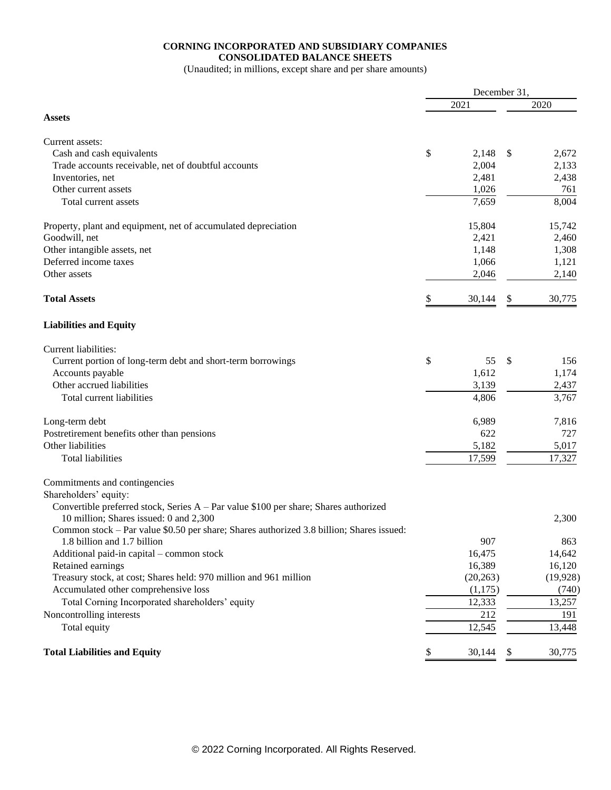### **CORNING INCORPORATED AND SUBSIDIARY COMPANIES CONSOLIDATED BALANCE SHEETS**

(Unaudited; in millions, except share and per share amounts)

|                                                                                                                                    | December 31, |              |
|------------------------------------------------------------------------------------------------------------------------------------|--------------|--------------|
|                                                                                                                                    | 2021         | 2020         |
| <b>Assets</b>                                                                                                                      |              |              |
|                                                                                                                                    |              |              |
| Current assets:                                                                                                                    |              |              |
| Cash and cash equivalents                                                                                                          | \$<br>2,148  | \$<br>2,672  |
| Trade accounts receivable, net of doubtful accounts                                                                                | 2,004        | 2,133        |
| Inventories, net                                                                                                                   | 2,481        | 2,438        |
| Other current assets                                                                                                               | 1,026        | 761          |
| Total current assets                                                                                                               | 7,659        | 8,004        |
| Property, plant and equipment, net of accumulated depreciation                                                                     | 15,804       | 15,742       |
| Goodwill, net                                                                                                                      | 2,421        | 2,460        |
| Other intangible assets, net                                                                                                       | 1,148        | 1,308        |
| Deferred income taxes                                                                                                              | 1,066        | 1,121        |
| Other assets                                                                                                                       | 2,046        | 2,140        |
| <b>Total Assets</b>                                                                                                                | \$<br>30,144 | \$<br>30,775 |
| <b>Liabilities and Equity</b>                                                                                                      |              |              |
| Current liabilities:                                                                                                               |              |              |
| Current portion of long-term debt and short-term borrowings                                                                        | \$<br>55     | \$<br>156    |
| Accounts payable                                                                                                                   | 1,612        | 1,174        |
| Other accrued liabilities                                                                                                          | 3,139        | 2,437        |
| Total current liabilities                                                                                                          | 4,806        | 3,767        |
| Long-term debt                                                                                                                     | 6,989        | 7,816        |
| Postretirement benefits other than pensions                                                                                        | 622          | 727          |
| Other liabilities                                                                                                                  | 5,182        | 5,017        |
| Total liabilities                                                                                                                  | 17,599       | 17,327       |
|                                                                                                                                    |              |              |
| Commitments and contingencies                                                                                                      |              |              |
| Shareholders' equity:                                                                                                              |              |              |
| Convertible preferred stock, Series $A - Par$ value \$100 per share; Shares authorized                                             |              |              |
| 10 million; Shares issued: 0 and 2,300<br>Common stock – Par value \$0.50 per share; Shares authorized 3.8 billion; Shares issued: |              | 2,300        |
| 1.8 billion and 1.7 billion                                                                                                        | 907          | 863          |
| Additional paid-in capital - common stock                                                                                          | 16,475       | 14,642       |
| Retained earnings                                                                                                                  | 16,389       | 16,120       |
| Treasury stock, at cost; Shares held: 970 million and 961 million                                                                  | (20, 263)    | (19, 928)    |
| Accumulated other comprehensive loss                                                                                               | (1,175)      | (740)        |
| Total Corning Incorporated shareholders' equity                                                                                    | 12,333       | 13,257       |
| Noncontrolling interests                                                                                                           | 212          | 191          |
| Total equity                                                                                                                       | 12,545       | 13,448       |
|                                                                                                                                    |              |              |
| <b>Total Liabilities and Equity</b>                                                                                                | \$<br>30,144 | \$<br>30,775 |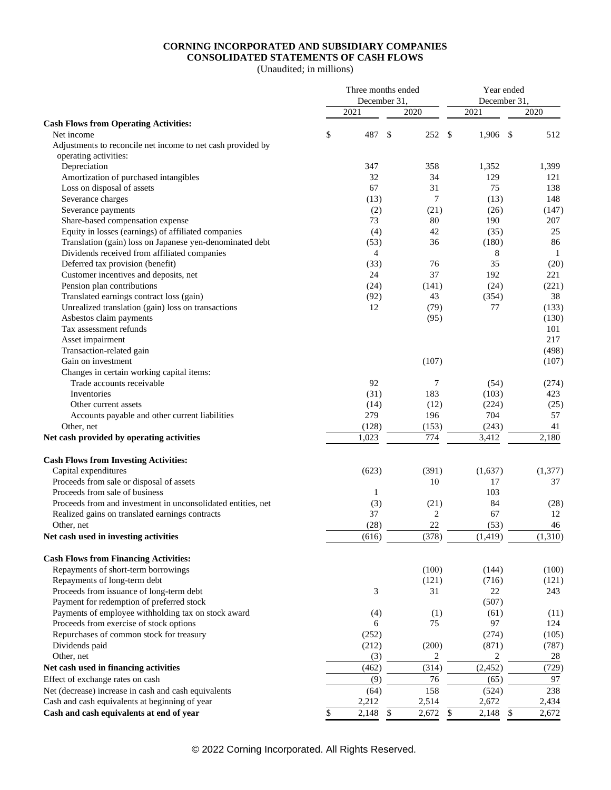### **CORNING INCORPORATED AND SUBSIDIARY COMPANIES CONSOLIDATED STATEMENTS OF CASH FLOWS**

(Unaudited; in millions)

|                                                              |      | Three months ended<br>December 31, |              |                |              | Year ended<br>December 31, |              |              |
|--------------------------------------------------------------|------|------------------------------------|--------------|----------------|--------------|----------------------------|--------------|--------------|
|                                                              | 2021 |                                    |              | 2020           | 2021         |                            |              | 2020         |
| <b>Cash Flows from Operating Activities:</b>                 |      |                                    |              |                |              |                            |              |              |
| Net income                                                   | \$   | 487                                | \$           | 252            | \$           | 1,906                      | \$           | 512          |
| Adjustments to reconcile net income to net cash provided by  |      |                                    |              |                |              |                            |              |              |
| operating activities:                                        |      |                                    |              |                |              |                            |              |              |
| Depreciation                                                 |      | 347                                |              | 358            |              | 1,352                      |              | 1,399        |
| Amortization of purchased intangibles                        |      | 32                                 |              | 34             |              | 129                        |              | 121          |
| Loss on disposal of assets                                   |      | 67                                 |              | 31             |              | 75                         |              | 138          |
| Severance charges                                            |      | (13)                               |              | 7              |              | (13)                       |              | 148          |
| Severance payments                                           |      | (2)                                |              | (21)           |              | (26)                       |              | (147)        |
| Share-based compensation expense                             |      | 73                                 |              | 80             |              | 190                        |              | 207          |
| Equity in losses (earnings) of affiliated companies          |      | (4)                                |              | 42             |              | (35)                       |              | 25           |
| Translation (gain) loss on Japanese yen-denominated debt     |      | (53)                               |              | 36             |              | (180)                      |              | 86           |
| Dividends received from affiliated companies                 |      | $\overline{4}$                     |              |                |              | 8                          |              | $\mathbf{1}$ |
| Deferred tax provision (benefit)                             |      | (33)                               |              | 76             |              | 35                         |              | (20)         |
| Customer incentives and deposits, net                        |      | 24                                 |              | 37             |              | 192                        |              | 221          |
| Pension plan contributions                                   |      | (24)                               |              | (141)          |              | (24)                       |              | (221)        |
| Translated earnings contract loss (gain)                     |      | (92)                               |              | 43             |              | (354)                      |              | 38           |
| Unrealized translation (gain) loss on transactions           |      | 12                                 |              | (79)           |              | 77                         |              | (133)        |
| Asbestos claim payments                                      |      |                                    |              | (95)           |              |                            |              | (130)        |
| Tax assessment refunds                                       |      |                                    |              |                |              |                            |              | 101          |
| Asset impairment                                             |      |                                    |              |                |              |                            |              | 217          |
| Transaction-related gain                                     |      |                                    |              |                |              |                            |              | (498)        |
| Gain on investment                                           |      |                                    |              | (107)          |              |                            |              | (107)        |
| Changes in certain working capital items:                    |      |                                    |              |                |              |                            |              |              |
| Trade accounts receivable                                    |      | 92                                 |              | 7              |              | (54)                       |              | (274)        |
| Inventories                                                  |      | (31)                               |              | 183            |              | (103)                      |              | 423          |
| Other current assets                                         |      | (14)                               |              | (12)           |              | (224)                      |              | (25)         |
| Accounts payable and other current liabilities               |      | 279                                |              | 196            |              | 704                        |              | 57           |
| Other, net                                                   |      | (128)                              |              | (153)          |              | (243)                      |              | 41           |
| Net cash provided by operating activities                    |      | 1,023                              |              | 774            |              | 3,412                      |              | 2,180        |
| <b>Cash Flows from Investing Activities:</b>                 |      |                                    |              |                |              |                            |              |              |
| Capital expenditures                                         |      | (623)                              |              | (391)          |              | (1,637)                    |              | (1, 377)     |
| Proceeds from sale or disposal of assets                     |      |                                    |              | 10             |              | 17                         |              | 37           |
| Proceeds from sale of business                               |      | 1                                  |              |                |              | 103                        |              |              |
| Proceeds from and investment in unconsolidated entities, net |      | (3)                                |              | (21)           |              | 84                         |              | (28)         |
| Realized gains on translated earnings contracts              |      | 37                                 |              | $\overline{2}$ |              | 67                         |              | 12           |
| Other, net                                                   |      | (28)                               |              | 22             |              | (53)                       |              | 46           |
| Net cash used in investing activities                        |      | (616)                              |              | (378)          |              | (1, 419)                   |              | (1,310)      |
| <b>Cash Flows from Financing Activities:</b>                 |      |                                    |              |                |              |                            |              |              |
| Repayments of short-term borrowings                          |      |                                    |              | (100)          |              | (144)                      |              | (100)        |
| Repayments of long-term debt                                 |      |                                    |              | (121)          |              | (716)                      |              | (121)        |
| Proceeds from issuance of long-term debt                     |      | 3                                  |              | 31             |              | 22                         |              | 243          |
| Payment for redemption of preferred stock                    |      |                                    |              |                |              | (507)                      |              |              |
| Payments of employee withholding tax on stock award          |      | (4)                                |              | (1)            |              | (61)                       |              | (11)         |
| Proceeds from exercise of stock options                      |      | 6                                  |              | 75             |              | 97                         |              | 124          |
| Repurchases of common stock for treasury                     |      | (252)                              |              |                |              | (274)                      |              | (105)        |
| Dividends paid                                               |      | (212)                              |              | (200)          |              | (871)                      |              | (787)        |
| Other, net                                                   |      | (3)                                |              | 2              |              | $\overline{\mathbf{c}}$    |              | $28\,$       |
| Net cash used in financing activities                        |      | (462)                              |              | (314)          |              | (2, 452)                   |              | (729)        |
| Effect of exchange rates on cash                             |      | (9)                                |              | 76             |              | (65)                       |              | 97           |
| Net (decrease) increase in cash and cash equivalents         |      | (64)                               |              | 158            |              | (524)                      |              | 238          |
| Cash and cash equivalents at beginning of year               |      | 2,212                              |              | 2,514          |              | 2,672                      |              | 2,434        |
| Cash and cash equivalents at end of year                     | \$   | 2,148                              | $\mathbb{S}$ | 2,672          | $\mathbb{S}$ | 2,148                      | $\mathbb{S}$ | 2,672        |

© 2022 Corning Incorporated. All Rights Reserved.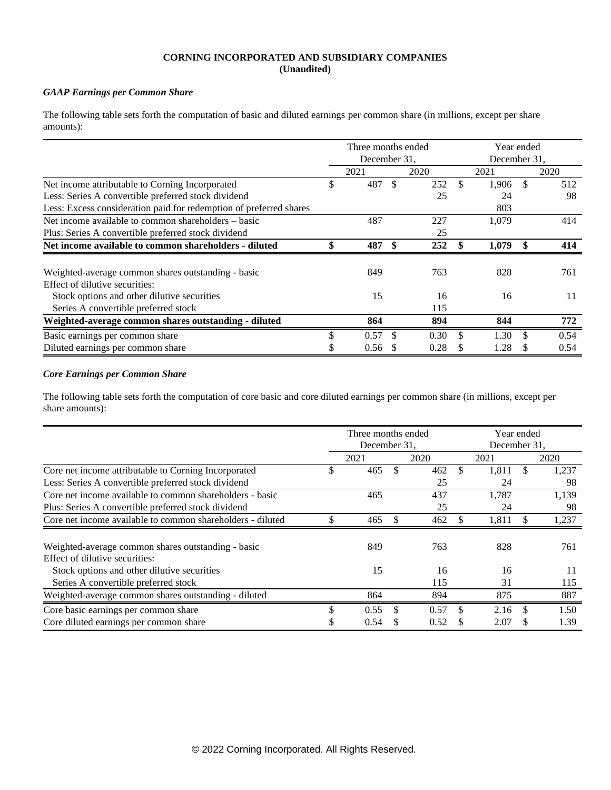#### **CORNING INCORPORATED AND SUBSIDIARY COMPANIES (Unaudited)**

#### *GAAP Earnings per Common Share*

The following table sets forth the computation of basic and diluted earnings per common share (in millions, except per share amounts):

|                                                                    |    | Three months ended |               |      |     | Year ended   |     |      |
|--------------------------------------------------------------------|----|--------------------|---------------|------|-----|--------------|-----|------|
|                                                                    |    | December 31,       |               |      |     | December 31, |     |      |
|                                                                    |    | 2021               |               | 2020 |     | 2021         |     | 2020 |
| Net income attributable to Corning Incorporated                    | \$ | 487                | <sup>\$</sup> | 252  | \$  | 1,906        | \$. | 512  |
| Less: Series A convertible preferred stock dividend                |    |                    |               | 25   |     | 24           |     | 98   |
| Less: Excess consideration paid for redemption of preferred shares |    |                    |               |      |     | 803          |     |      |
| Net income available to common shareholders – basic                |    | 487                |               | 227  |     | 1,079        |     | 414  |
| Plus: Series A convertible preferred stock dividend                |    |                    |               | 25   |     |              |     |      |
| Net income available to common shareholders - diluted              | \$ | 487                | -\$           | 252  |     | 1,079        |     | 414  |
| Weighted-average common shares outstanding - basic                 |    | 849                |               | 763  |     | 828          |     | 761  |
| Effect of dilutive securities:                                     |    |                    |               |      |     |              |     |      |
| Stock options and other dilutive securities                        |    | 15                 |               | 16   |     | 16           |     | 11   |
| Series A convertible preferred stock                               |    |                    |               | 115  |     |              |     |      |
| Weighted-average common shares outstanding - diluted               |    | 864                |               | 894  |     | 844          |     | 772  |
| Basic earnings per common share                                    | \$ | 0.57               | -S            | 0.30 | \$. | 1.30         |     | 0.54 |
| Diluted earnings per common share                                  | ъ. | 0.56               |               | 0.28 | S.  | 1.28         |     | 0.54 |

#### *Core Earnings per Common Share*

The following table sets forth the computation of core basic and core diluted earnings per common share (in millions, except per share amounts):

|                                                            |    | Three months ended<br>December 31. |     |      |    | Year ended<br>December 31. |    |       |
|------------------------------------------------------------|----|------------------------------------|-----|------|----|----------------------------|----|-------|
|                                                            |    | 2021                               |     | 2020 |    | 2021                       |    | 2020  |
| Core net income attributable to Corning Incorporated       | \$ | 465                                |     | 462  |    | 1.811                      | \$ | 1,237 |
| Less: Series A convertible preferred stock dividend        |    |                                    |     | 25   |    | 24                         |    | 98    |
| Core net income available to common shareholders - basic   |    | 465                                |     | 437  |    | 1,787                      |    | 1,139 |
| Plus: Series A convertible preferred stock dividend        |    |                                    |     | 25   |    | 24                         |    | 98    |
| Core net income available to common shareholders - diluted |    | 465                                |     | 462  |    | 1,811                      |    | 1,237 |
| Weighted-average common shares outstanding - basic         |    | 849                                |     | 763  |    | 828                        |    | 761   |
| Effect of dilutive securities:                             |    |                                    |     |      |    |                            |    |       |
| Stock options and other dilutive securities                |    | 15                                 |     | 16   |    | 16                         |    | 11    |
| Series A convertible preferred stock                       |    |                                    |     | 115  |    | 31                         |    | 115   |
| Weighted-average common shares outstanding - diluted       |    | 864                                |     | 894  |    | 875                        |    | 887   |
| Core basic earnings per common share                       | J. | 0.55                               |     | 0.57 | S. | 2.16                       | -S | 1.50  |
| Core diluted earnings per common share                     | Ф  | 0.54                               | \$. | 0.52 | S  | 2.07                       | Ж  | 1.39  |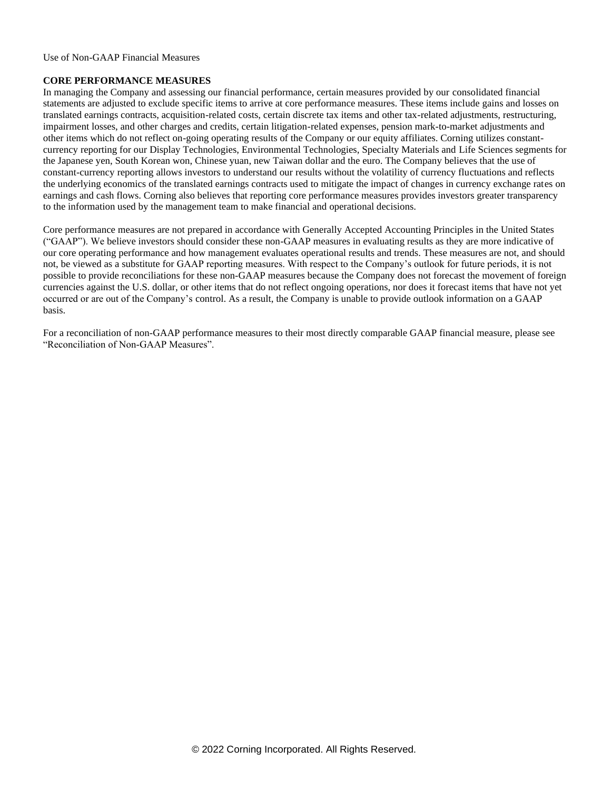Use of Non-GAAP Financial Measures

#### **CORE PERFORMANCE MEASURES**

In managing the Company and assessing our financial performance, certain measures provided by our consolidated financial statements are adjusted to exclude specific items to arrive at core performance measures. These items include gains and losses on translated earnings contracts, acquisition-related costs, certain discrete tax items and other tax-related adjustments, restructuring, impairment losses, and other charges and credits, certain litigation-related expenses, pension mark-to-market adjustments and other items which do not reflect on-going operating results of the Company or our equity affiliates. Corning utilizes constantcurrency reporting for our Display Technologies, Environmental Technologies, Specialty Materials and Life Sciences segments for the Japanese yen, South Korean won, Chinese yuan, new Taiwan dollar and the euro. The Company believes that the use of constant-currency reporting allows investors to understand our results without the volatility of currency fluctuations and reflects the underlying economics of the translated earnings contracts used to mitigate the impact of changes in currency exchange rates on earnings and cash flows. Corning also believes that reporting core performance measures provides investors greater transparency to the information used by the management team to make financial and operational decisions.

Core performance measures are not prepared in accordance with Generally Accepted Accounting Principles in the United States ("GAAP"). We believe investors should consider these non-GAAP measures in evaluating results as they are more indicative of our core operating performance and how management evaluates operational results and trends. These measures are not, and should not, be viewed as a substitute for GAAP reporting measures. With respect to the Company's outlook for future periods, it is not possible to provide reconciliations for these non-GAAP measures because the Company does not forecast the movement of foreign currencies against the U.S. dollar, or other items that do not reflect ongoing operations, nor does it forecast items that have not yet occurred or are out of the Company's control. As a result, the Company is unable to provide outlook information on a GAAP basis.

For a reconciliation of non-GAAP performance measures to their most directly comparable GAAP financial measure, please see "Reconciliation of Non-GAAP Measures".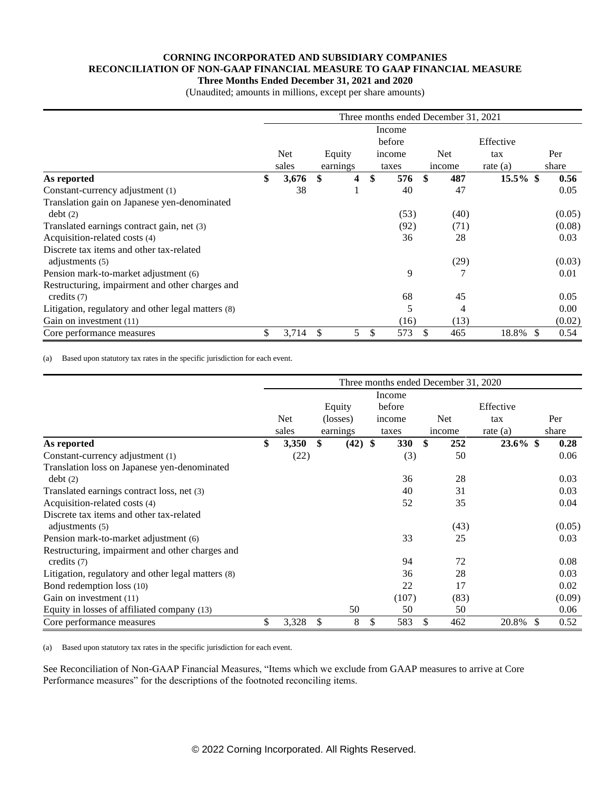#### **CORNING INCORPORATED AND SUBSIDIARY COMPANIES RECONCILIATION OF NON-GAAP FINANCIAL MEASURE TO GAAP FINANCIAL MEASURE Three Months Ended December 31, 2021 and 2020**

(Unaudited; amounts in millions, except per share amounts)

|                                                    |             |          | Three months ended December 31, 2021 |            |             |    |        |
|----------------------------------------------------|-------------|----------|--------------------------------------|------------|-------------|----|--------|
|                                                    |             |          | Income                               |            |             |    |        |
|                                                    |             |          | before                               |            | Effective   |    |        |
|                                                    | <b>Net</b>  | Equity   | income                               | <b>Net</b> | tax         |    | Per    |
|                                                    | sales       | earnings | taxes                                | income     | rate $(a)$  |    | share  |
| As reported                                        | \$<br>3,676 | \$<br>4  | \$<br>576                            | \$<br>487  | $15.5\%$ \$ |    | 0.56   |
| Constant-currency adjustment (1)                   | 38          |          | 40                                   | 47         |             |    | 0.05   |
| Translation gain on Japanese yen-denominated       |             |          |                                      |            |             |    |        |
| debt(2)                                            |             |          | (53)                                 | (40)       |             |    | (0.05) |
| Translated earnings contract gain, net (3)         |             |          | (92)                                 | (71)       |             |    | (0.08) |
| Acquisition-related costs (4)                      |             |          | 36                                   | 28         |             |    | 0.03   |
| Discrete tax items and other tax-related           |             |          |                                      |            |             |    |        |
| adjustments (5)                                    |             |          |                                      | (29)       |             |    | (0.03) |
| Pension mark-to-market adjustment (6)              |             |          | 9                                    | 7          |             |    | 0.01   |
| Restructuring, impairment and other charges and    |             |          |                                      |            |             |    |        |
| credits (7)                                        |             |          | 68                                   | 45         |             |    | 0.05   |
| Litigation, regulatory and other legal matters (8) |             |          | 5                                    | 4          |             |    | 0.00   |
| Gain on investment (11)                            |             |          | (16)                                 | (13)       |             |    | (0.02) |
| Core performance measures                          | \$<br>3,714 | \$<br>5  | \$<br>573                            | 465        | 18.8%       | -S | 0.54   |

(a) Based upon statutory tax rates in the specific jurisdiction for each event.

|                                                             |             |                 |            | Three months ended December 31, 2020 |             |     |        |
|-------------------------------------------------------------|-------------|-----------------|------------|--------------------------------------|-------------|-----|--------|
|                                                             |             |                 | Income     |                                      |             |     |        |
|                                                             |             | Equity          | before     |                                      | Effective   |     |        |
|                                                             | Net         | (losses)        | income     | <b>Net</b>                           | tax         |     | Per    |
|                                                             | sales       | earnings        | taxes      | income                               | rate $(a)$  |     | share  |
| As reported                                                 | \$<br>3,350 | \$<br>$(42)$ \$ | <b>330</b> | \$<br>252                            | $23.6\%$ \$ |     | 0.28   |
| Constant-currency adjustment (1)                            | (22)        |                 | (3)        | 50                                   |             |     | 0.06   |
| Translation loss on Japanese yen-denominated<br>debt(2)     |             |                 | 36         | 28                                   |             |     | 0.03   |
| Translated earnings contract loss, net (3)                  |             |                 | 40         | 31                                   |             |     | 0.03   |
| Acquisition-related costs (4)                               |             |                 | 52         | 35                                   |             |     | 0.04   |
| Discrete tax items and other tax-related<br>adjustments (5) |             |                 |            | (43)                                 |             |     | (0.05) |
| Pension mark-to-market adjustment (6)                       |             |                 | 33         | 25                                   |             |     | 0.03   |
| Restructuring, impairment and other charges and             |             |                 |            |                                      |             |     |        |
| credits $(7)$                                               |             |                 | 94         | 72                                   |             |     | 0.08   |
| Litigation, regulatory and other legal matters (8)          |             |                 | 36         | 28                                   |             |     | 0.03   |
| Bond redemption loss (10)                                   |             |                 | 22         | 17                                   |             |     | 0.02   |
| Gain on investment (11)                                     |             |                 | (107)      | (83)                                 |             |     | (0.09) |
| Equity in losses of affiliated company (13)                 |             | 50              | 50         | 50                                   |             |     | 0.06   |
| Core performance measures                                   | \$<br>3,328 | \$<br>8         | \$<br>583  | 462                                  | 20.8%       | \$. | 0.52   |

(a) Based upon statutory tax rates in the specific jurisdiction for each event.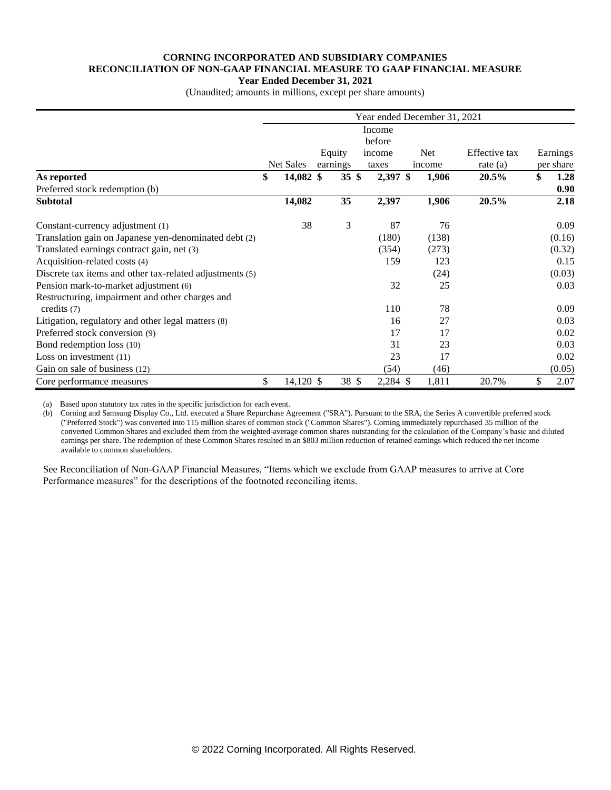#### **CORNING INCORPORATED AND SUBSIDIARY COMPANIES RECONCILIATION OF NON-GAAP FINANCIAL MEASURE TO GAAP FINANCIAL MEASURE Year Ended December 31, 2021**

(Unaudited; amounts in millions, except per share amounts)

|                                                          |                   |                  |          | Year ended December 31, 2021 |               |            |
|----------------------------------------------------------|-------------------|------------------|----------|------------------------------|---------------|------------|
|                                                          |                   |                  | Income   |                              |               |            |
|                                                          |                   |                  | before   |                              |               |            |
|                                                          |                   | Equity           | income   | Net                          | Effective tax | Earnings   |
|                                                          | Net Sales         | earnings         | taxes    | income                       | rate $(a)$    | per share  |
| As reported                                              | \$<br>$14,082$ \$ | $35 \text{ }$ \$ | 2,397 \$ | 1,906                        | 20.5%         | \$<br>1.28 |
| Preferred stock redemption (b)                           |                   |                  |          |                              |               | 0.90       |
| <b>Subtotal</b>                                          | 14,082            | 35               | 2,397    | 1,906                        | 20.5%         | 2.18       |
| Constant-currency adjustment (1)                         | 38                | 3                | 87       | 76                           |               | 0.09       |
| Translation gain on Japanese yen-denominated debt (2)    |                   |                  | (180)    | (138)                        |               | (0.16)     |
| Translated earnings contract gain, net (3)               |                   |                  | (354)    | (273)                        |               | (0.32)     |
| Acquisition-related costs (4)                            |                   |                  | 159      | 123                          |               | 0.15       |
| Discrete tax items and other tax-related adjustments (5) |                   |                  |          | (24)                         |               | (0.03)     |
| Pension mark-to-market adjustment (6)                    |                   |                  | 32       | 25                           |               | 0.03       |
| Restructuring, impairment and other charges and          |                   |                  |          |                              |               |            |
| credits $(7)$                                            |                   |                  | 110      | 78                           |               | 0.09       |
| Litigation, regulatory and other legal matters (8)       |                   |                  | 16       | 27                           |               | 0.03       |
| Preferred stock conversion (9)                           |                   |                  | 17       | 17                           |               | 0.02       |
| Bond redemption loss (10)                                |                   |                  | 31       | 23                           |               | 0.03       |
| Loss on investment $(11)$                                |                   |                  | 23       | 17                           |               | 0.02       |
| Gain on sale of business (12)                            |                   |                  | (54)     | (46)                         |               | (0.05)     |
| Core performance measures                                | \$<br>14,120 \$   | 38 \$            | 2,284 \$ | 1,811                        | 20.7%         | \$<br>2.07 |

(a) Based upon statutory tax rates in the specific jurisdiction for each event.

(b) Corning and Samsung Display Co., Ltd. executed a Share Repurchase Agreement ("SRA"). Pursuant to the SRA, the Series A convertible preferred stock ("Preferred Stock") was converted into 115 million shares of common stock ("Common Shares"). Corning immediately repurchased 35 million of the converted Common Shares and excluded them from the weighted-average common shares outstanding for the calculation of the Company's basic and diluted earnings per share. The redemption of these Common Shares resulted in an \$803 million reduction of retained earnings which reduced the net income available to common shareholders.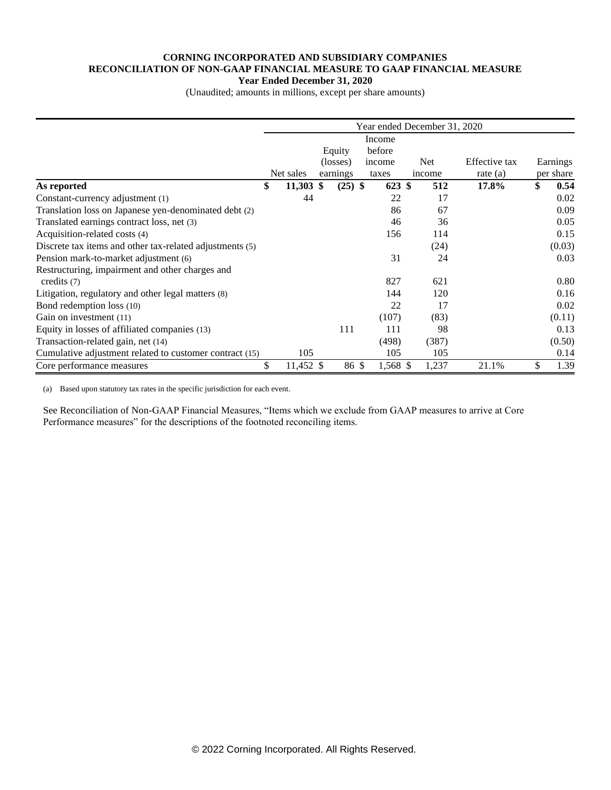#### **CORNING INCORPORATED AND SUBSIDIARY COMPANIES RECONCILIATION OF NON-GAAP FINANCIAL MEASURE TO GAAP FINANCIAL MEASURE Year Ended December 31, 2020**

(Unaudited; amounts in millions, except per share amounts)

|                                                          |                   |           |       |                  | Year ended December 31, 2020 |               |            |
|----------------------------------------------------------|-------------------|-----------|-------|------------------|------------------------------|---------------|------------|
|                                                          |                   | Equity    |       | Income<br>before |                              |               |            |
|                                                          |                   | (losses)  |       | income           | <b>Net</b>                   | Effective tax | Earnings   |
|                                                          | Net sales         | earnings  |       | taxes            | income                       | rate $(a)$    | per share  |
| As reported                                              | \$<br>$11,303$ \$ | $(25)$ \$ |       | 623 \$           | 512                          | 17.8%         | \$<br>0.54 |
| Constant-currency adjustment (1)                         | 44                |           |       | 22               | 17                           |               | 0.02       |
| Translation loss on Japanese yen-denominated debt (2)    |                   |           |       | 86               | 67                           |               | 0.09       |
| Translated earnings contract loss, net (3)               |                   |           |       | 46               | 36                           |               | 0.05       |
| Acquisition-related costs (4)                            |                   |           |       | 156              | 114                          |               | 0.15       |
| Discrete tax items and other tax-related adjustments (5) |                   |           |       |                  | (24)                         |               | (0.03)     |
| Pension mark-to-market adjustment (6)                    |                   |           |       | 31               | 24                           |               | 0.03       |
| Restructuring, impairment and other charges and          |                   |           |       |                  |                              |               |            |
| credits $(7)$                                            |                   |           |       | 827              | 621                          |               | 0.80       |
| Litigation, regulatory and other legal matters (8)       |                   |           |       | 144              | 120                          |               | 0.16       |
| Bond redemption loss (10)                                |                   |           |       | 22               | 17                           |               | 0.02       |
| Gain on investment (11)                                  |                   |           |       | (107)            | (83)                         |               | (0.11)     |
| Equity in losses of affiliated companies (13)            |                   | 111       |       | 111              | 98                           |               | 0.13       |
| Transaction-related gain, net (14)                       |                   |           |       | (498)            | (387)                        |               | (0.50)     |
| Cumulative adjustment related to customer contract (15)  | 105               |           |       | 105              | 105                          |               | 0.14       |
| Core performance measures                                | \$<br>11,452 \$   |           | 86 \$ | 1,568 \$         | 1,237                        | 21.1%         | 1.39       |

(a) Based upon statutory tax rates in the specific jurisdiction for each event.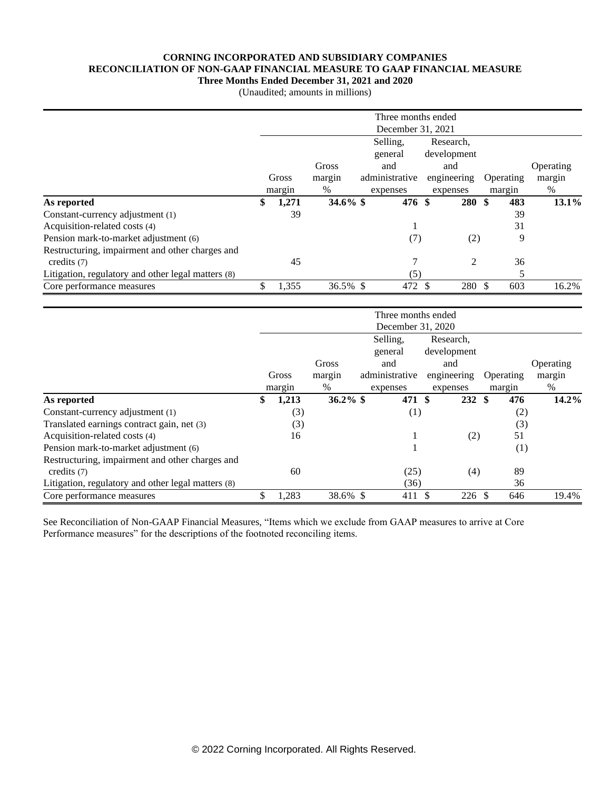### **CORNING INCORPORATED AND SUBSIDIARY COMPANIES RECONCILIATION OF NON-GAAP FINANCIAL MEASURE TO GAAP FINANCIAL MEASURE**

**Three Months Ended December 31, 2021 and 2020**

| (Unaudited; amounts in millions) |
|----------------------------------|
|----------------------------------|

|                                                    |                   |             |  | Three months ended |             |           |           |  |  |  |  |  |
|----------------------------------------------------|-------------------|-------------|--|--------------------|-------------|-----------|-----------|--|--|--|--|--|
|                                                    | December 31, 2021 |             |  |                    |             |           |           |  |  |  |  |  |
|                                                    |                   |             |  | Selling,           | Research,   |           |           |  |  |  |  |  |
|                                                    |                   |             |  | general            | development |           |           |  |  |  |  |  |
|                                                    |                   | Gross       |  | and                | and         |           | Operating |  |  |  |  |  |
|                                                    | Gross             | margin      |  | administrative     | engineering | Operating | margin    |  |  |  |  |  |
|                                                    | margin            | %           |  | expenses           | expenses    | margin    | %         |  |  |  |  |  |
| As reported                                        | \$<br>1,271       | $34.6\%$ \$ |  | 476 \$             | 280 \$      | 483       | 13.1%     |  |  |  |  |  |
| Constant-currency adjustment (1)                   | 39                |             |  |                    |             | 39        |           |  |  |  |  |  |
| Acquisition-related costs (4)                      |                   |             |  |                    |             | 31        |           |  |  |  |  |  |
| Pension mark-to-market adjustment (6)              |                   |             |  | (7)                | (2)         | 9         |           |  |  |  |  |  |
| Restructuring, impairment and other charges and    |                   |             |  |                    |             |           |           |  |  |  |  |  |
| credits $(7)$                                      | 45                |             |  |                    | 2           | 36        |           |  |  |  |  |  |
| Litigation, regulatory and other legal matters (8) |                   |             |  | (5)                |             | 5         |           |  |  |  |  |  |
| Core performance measures                          | \$<br>1,355       | 36.5% \$    |  | 472                | 280 \$      | 603       | 16.2%     |  |  |  |  |  |

|                                                    |             |             | Three months ended<br>December 31, 2020 |                   |           |           |
|----------------------------------------------------|-------------|-------------|-----------------------------------------|-------------------|-----------|-----------|
|                                                    |             |             | Selling,                                | Research,         |           |           |
|                                                    |             |             | general                                 | development       |           |           |
|                                                    |             | Gross       | and                                     | and               |           | Operating |
|                                                    | Gross       | margin      | administrative                          | engineering       | Operating | margin    |
|                                                    | margin      | $\%$        | expenses                                | expenses          | margin    | %         |
| As reported                                        | \$<br>1,213 | $36.2\%$ \$ | 471 \$                                  | $232*$            | 476       | $14.2\%$  |
| Constant-currency adjustment (1)                   | (3)         |             | (1)                                     |                   | (2)       |           |
| Translated earnings contract gain, net (3)         | (3)         |             |                                         |                   | (3)       |           |
| Acquisition-related costs (4)                      | 16          |             |                                         | (2)               | 51        |           |
| Pension mark-to-market adjustment (6)              |             |             |                                         |                   | (1)       |           |
| Restructuring, impairment and other charges and    |             |             |                                         |                   |           |           |
| credits $(7)$                                      | 60          |             | (25)                                    | (4)               | 89        |           |
| Litigation, regulatory and other legal matters (8) |             |             | (36)                                    |                   | 36        |           |
| Core performance measures                          | \$<br>1,283 | 38.6% \$    | 411 \$                                  | $226 \text{ }$ \$ | 646       | 19.4%     |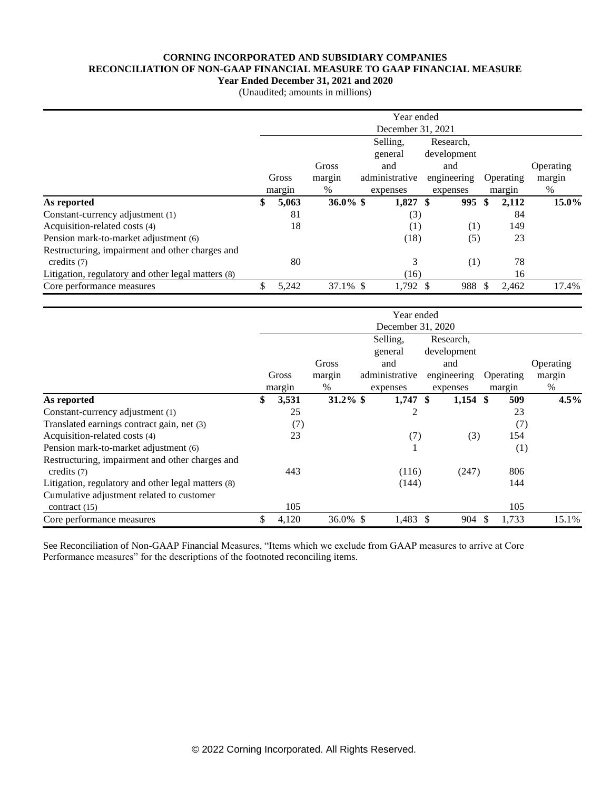#### **CORNING INCORPORATED AND SUBSIDIARY COMPANIES RECONCILIATION OF NON-GAAP FINANCIAL MEASURE TO GAAP FINANCIAL MEASURE**

**Year Ended December 31, 2021 and 2020**

(Unaudited; amounts in millions)

|                                                    | Year ended        |                       |             |  |                |             |     |     |           |           |
|----------------------------------------------------|-------------------|-----------------------|-------------|--|----------------|-------------|-----|-----|-----------|-----------|
|                                                    | December 31, 2021 |                       |             |  |                |             |     |     |           |           |
|                                                    |                   | Selling,<br>Research, |             |  |                |             |     |     |           |           |
|                                                    |                   |                       |             |  | general        | development |     |     |           |           |
|                                                    |                   |                       | Gross       |  | and            | and         |     |     |           | Operating |
|                                                    |                   | Gross                 | margin      |  | administrative | engineering |     |     | Operating | margin    |
|                                                    |                   | margin                | $\%$        |  | expenses       | expenses    |     |     | margin    | %         |
| As reported                                        | \$                | 5,063                 | $36.0\%$ \$ |  | 1,827          | -\$         | 995 | -SS | 2,112     | 15.0%     |
| Constant-currency adjustment (1)                   |                   | 81                    |             |  | (3)            |             |     |     | 84        |           |
| Acquisition-related costs (4)                      |                   | 18                    |             |  | (1)            |             | (1) |     | 149       |           |
| Pension mark-to-market adjustment (6)              |                   |                       |             |  | (18)           |             | (5) |     | 23        |           |
| Restructuring, impairment and other charges and    |                   |                       |             |  |                |             |     |     |           |           |
| credits $(7)$                                      |                   | 80                    |             |  | 3              |             | (1) |     | 78        |           |
| Litigation, regulatory and other legal matters (8) |                   |                       |             |  | (16)           |             |     |     | 16        |           |
| Core performance measures                          | \$                | 5,242                 | 37.1% \$    |  | 1,792 \$       | 988         |     |     | 2,462     | 17.4%     |

|                                                    |                   |        |             |  | Year ended     |                   |             |               |           |           |  |
|----------------------------------------------------|-------------------|--------|-------------|--|----------------|-------------------|-------------|---------------|-----------|-----------|--|
|                                                    | December 31, 2020 |        |             |  |                |                   |             |               |           |           |  |
|                                                    |                   |        |             |  | Selling,       |                   | Research,   |               |           |           |  |
|                                                    |                   |        |             |  | general        |                   | development |               |           |           |  |
|                                                    |                   |        | Gross       |  | and            |                   | and         |               |           | Operating |  |
|                                                    |                   | Gross  | margin      |  | administrative |                   | engineering |               | Operating | margin    |  |
|                                                    |                   | margin | %           |  | expenses       |                   | expenses    |               | margin    | %         |  |
| As reported                                        | \$                | 3,531  | $31.2\%$ \$ |  | 1,747          | $\boldsymbol{\$}$ | $1,154$ \$  |               | 509       | 4.5%      |  |
| Constant-currency adjustment (1)                   |                   | 25     |             |  | 2              |                   |             |               | 23        |           |  |
| Translated earnings contract gain, net (3)         |                   | (7)    |             |  |                |                   |             |               | (7)       |           |  |
| Acquisition-related costs (4)                      |                   | 23     |             |  | (7)            |                   | (3)         |               | 154       |           |  |
| Pension mark-to-market adjustment (6)              |                   |        |             |  |                |                   |             |               | (1)       |           |  |
| Restructuring, impairment and other charges and    |                   |        |             |  |                |                   |             |               |           |           |  |
| credits $(7)$                                      |                   | 443    |             |  | (116)          |                   | (247)       |               | 806       |           |  |
| Litigation, regulatory and other legal matters (8) |                   |        |             |  | (144)          |                   |             |               | 144       |           |  |
| Cumulative adjustment related to customer          |                   |        |             |  |                |                   |             |               |           |           |  |
| contract $(15)$                                    |                   | 105    |             |  |                |                   |             |               | 105       |           |  |
| Core performance measures                          | \$                | 4,120  | 36.0% \$    |  | 1,483          | -S                | 904         | <sup>\$</sup> | 1,733     | 15.1%     |  |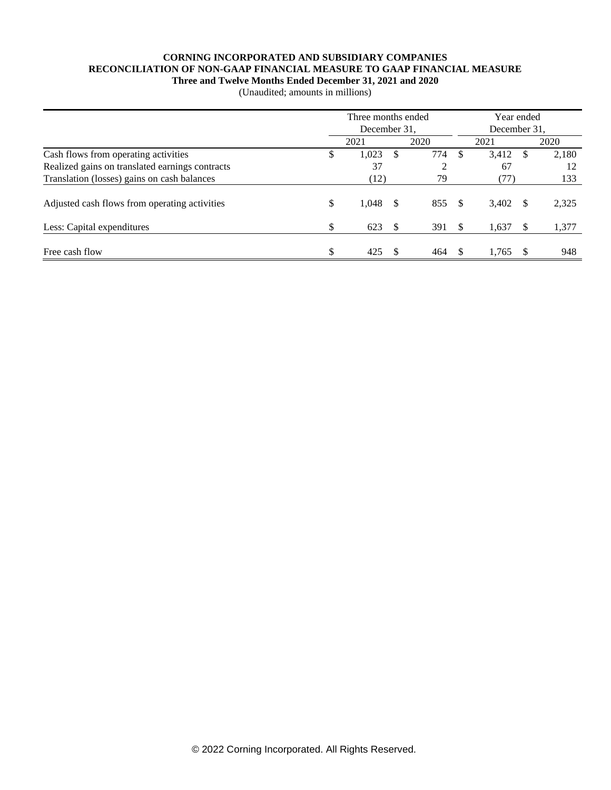## **CORNING INCORPORATED AND SUBSIDIARY COMPANIES RECONCILIATION OF NON-GAAP FINANCIAL MEASURE TO GAAP FINANCIAL MEASURE**

**Three and Twelve Months Ended December 31, 2021 and 2020**

| (Unaudited; amounts in millions) |  |  |  |
|----------------------------------|--|--|--|
|----------------------------------|--|--|--|

|                                                 | Three months ended<br>December 31, |       |     |                |          | Year ended   |      |       |  |  |  |
|-------------------------------------------------|------------------------------------|-------|-----|----------------|----------|--------------|------|-------|--|--|--|
|                                                 |                                    |       |     |                |          | December 31. |      |       |  |  |  |
|                                                 |                                    | 2021  |     | 2020           |          | 2021         |      | 2020  |  |  |  |
| Cash flows from operating activities            | \$                                 | 1,023 | S   | 774            | \$.      | 3,412        | S    | 2,180 |  |  |  |
| Realized gains on translated earnings contracts |                                    | 37    |     | $\overline{2}$ |          | 67           |      | 12    |  |  |  |
| Translation (losses) gains on cash balances     |                                    | (12)  |     | 79             |          | (77)         |      | 133   |  |  |  |
| Adjusted cash flows from operating activities   | \$                                 | 1,048 | \$. | 855            | - \$     | 3,402        | - \$ | 2,325 |  |  |  |
| Less: Capital expenditures                      | \$                                 | 623   | \$. | 391            | \$       | 1,637        |      | 1,377 |  |  |  |
| Free cash flow                                  | \$                                 | 425   |     | 464            | <b>S</b> | 1.765        |      | 948   |  |  |  |